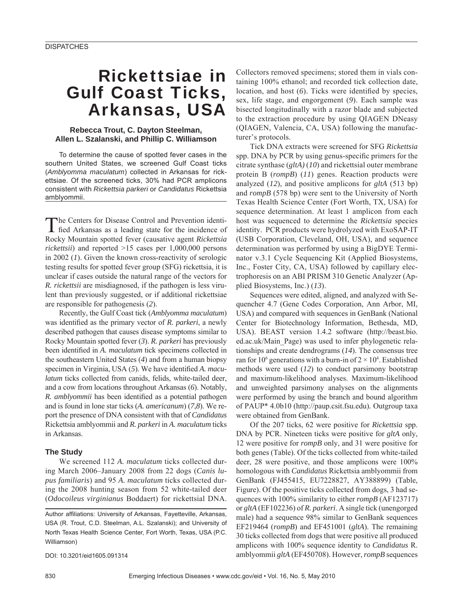# Rickettsiae in Gulf Coast Ticks, Arkansas, USA

## **Rebecca Trout, C. Dayton Steelman, Allen L. Szalanski, and Phillip C. Williamson**

To determine the cause of spotted fever cases in the southern United States, we screened Gulf Coast ticks (*Amblyomma maculatum*) collected in Arkansas for rickettsiae. Of the screened ticks, 30% had PCR amplicons consistent with *Rickettsia parkeri* or *Candidatus* Rickettsia amblyommii.

The Centers for Disease Control and Prevention identified Arkansas as a leading state for the incidence of Rocky Mountain spotted fever (causative agent *Rickettsia rickettsii*) and reported >15 cases per 1,000,000 persons in 2002 (*1*). Given the known cross-reactivity of serologic testing results for spotted fever group (SFG) rickettsia, it is unclear if cases outside the natural range of the vectors for *R. rickettsii* are misdiagnosed, if the pathogen is less virulent than previously suggested, or if additional rickettsiae are responsible for pathogenesis (*2*).

Recently, the Gulf Coast tick (*Amblyomma maculatum*) was identified as the primary vector of *R. parkeri*, a newly described pathogen that causes disease symptoms similar to Rocky Mountain spotted fever (*3*). *R. parkeri* has previously been identified in *A. maculatum* tick specimens collected in the southeastern United States (*4*) and from a human biopsy specimen in Virginia, USA (5). We have identified *A. maculatum* ticks collected from canids, felids, white-tailed deer, and a cow from locations throughout Arkansas (*6*). Notably, *R. amblyommii* has been identified as a potential pathogen and is found in lone star ticks (*A. americanum*) (*7*,*8*). We report the presence of DNA consistent with that of *Candidatus* Rickettsia amblyommii and *R. parkeri* in *A. maculatum* ticks in Arkansas.

#### **The Study**

We screened 112 *A. maculatum* ticks collected during March 2006–January 2008 from 22 dogs (*Canis lupus familiaris*) and 95 *A. maculatum* ticks collected during the 2008 hunting season from 52 white-tailed deer (*Odocoileus virginianus* Boddaert) for rickettsial DNA.

DOI: 10.3201/eid1605.091314

Collectors removed specimens; stored them in vials containing 100% ethanol; and recorded tick collection date, location, and host (6). Ticks were identified by species, sex, life stage, and engorgement (*9*). Each sample was bisected longitudinally with a razor blade and subjected to the extraction procedure by using QIAGEN DNeasy (QIAGEN, Valencia, CA, USA) following the manufacturer's protocols.

Tick DNA extracts were screened for SFG *Rickettsia* spp. DNA by PCR by using genus-specific primers for the citrate synthase (*gltA)* (*10*) and rickettsial outer membrane protein B (*rompB*) (*11*) genes. Reaction products were analyzed (*12*), and positive amplicons for *gltA* (513 bp) and *rompB* (578 bp) were sent to the University of North Texas Health Science Center (Fort Worth, TX, USA) for sequence determination. At least 1 amplicon from each host was sequenced to determine the *Rickettsia* species identity. PCR products were hydrolyzed with ExoSAP-IT (USB Corporation, Cleveland, OH, USA), and sequence determination was performed by using a BigDYE Terminator v.3.1 Cycle Sequencing Kit (Applied Biosystems, Inc., Foster City, CA, USA) followed by capillary electrophoresis on an ABI PRISM 310 Genetic Analyzer (Applied Biosystems, Inc.) (*13*).

Sequences were edited, aligned, and analyzed with Sequencher 4.7 (Gene Codes Corporation, Ann Arbor, MI, USA) and compared with sequences in GenBank (National Center for Biotechnology Information, Bethesda, MD, USA). BEAST version 1.4.2 software (http://beast.bio. ed.ac.uk/Main\_Page) was used to infer phylogenetic relationships and create dendrograms (*14*). The consensus tree ran for 10<sup>6</sup> generations with a burn-in of  $2 \times 10^4$ . Established methods were used (*12*) to conduct parsimony bootstrap and maximum-likelihood analyses. Maximum-likelihood and unweighted parsimony analyses on the alignments were performed by using the branch and bound algorithm of PAUP\* 4.0b10 (http://paup.csit.fsu.edu)*.* Outgroup taxa were obtained from GenBank.

Of the 207 ticks, 62 were positive for *Rickettsia* spp. DNA by PCR. Nineteen ticks were positive for *gltA* only, 12 were positive for *rompB* only, and 31 were positive for both genes (Table). Of the ticks collected from white-tailed deer, 28 were positive, and those amplicons were 100% homologous with *Candidatus* Rickettsia amblyommii from GenBank (FJ455415, EU7228827, AY388899) (Table, Figure). Of the positive ticks collected from dogs, 3 had sequences with 100% similarity to either *rompB* (AF123717) or *gltA* (EF102236) of *R. parkeri*. A single tick (unengorged male) had a sequence 98% similar to GenBank sequences EF219464 (*rompB*) and EF451001 (*gltA*). The remaining 30 ticks collected from dogs that were positive all produced amplicons with 100% sequence identity to *Candidatus* R. amblyommii *gltA* (EF450708). However, *rompB* sequences

Author affiliations: University of Arkansas, Fayetteville, Arkansas, USA (R. Trout, C.D. Steelman, A.L. Szalanski); and University of North Texas Health Science Center, Fort Worth, Texas, USA (P.C. Williamson)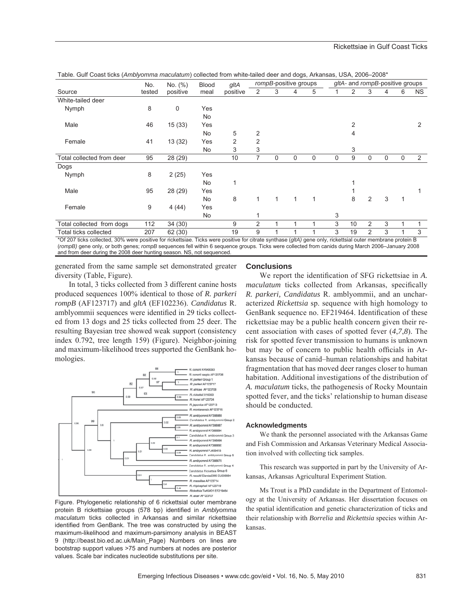#### Rickettsiae in Gulf Coast Ticks

| Source                       | No.<br>tested | No. (%)<br>positive | <b>Blood</b><br>meal | gltA<br>positive | rompB-positive groups |             |   |   | gltA- and rompB-positive groups |    |                |   |              |     |
|------------------------------|---------------|---------------------|----------------------|------------------|-----------------------|-------------|---|---|---------------------------------|----|----------------|---|--------------|-----|
|                              |               |                     |                      |                  | 2                     | 3           | 4 | 5 | 1                               | 2  | 3              | 4 | 6            | NS. |
| White-tailed deer            |               |                     |                      |                  |                       |             |   |   |                                 |    |                |   |              |     |
| Nymph                        | 8             | $\mathbf 0$         | Yes                  |                  |                       |             |   |   |                                 |    |                |   |              |     |
|                              |               |                     | No                   |                  |                       |             |   |   |                                 |    |                |   |              |     |
| Male                         | 46            | 15(33)              | Yes                  |                  |                       |             |   |   |                                 | 2  |                |   |              | 2   |
|                              |               |                     | No                   | 5                | 2                     |             |   |   |                                 | 4  |                |   |              |     |
| Female                       | 41            | 13(32)              | Yes                  | 2                | $\overline{2}$        |             |   |   |                                 |    |                |   |              |     |
|                              |               |                     | <b>No</b>            | 3                | 3                     |             |   |   |                                 | 3  |                |   |              |     |
| Total collected from deer    | 95            | 28 (29)             |                      | 10               | 7                     | $\mathbf 0$ | 0 | 0 | $\mathbf 0$                     | 9  | 0              | 0 | $\mathbf 0$  | 2   |
| Dogs                         |               |                     |                      |                  |                       |             |   |   |                                 |    |                |   |              |     |
| Nymph                        | 8             | 2(25)               | Yes                  |                  |                       |             |   |   |                                 |    |                |   |              |     |
|                              |               |                     | No                   |                  |                       |             |   |   |                                 |    |                |   |              |     |
| Male                         | 95            | 28 (29)             | Yes                  |                  |                       |             |   |   |                                 |    |                |   |              |     |
|                              |               |                     | No.                  | 8                | $\mathbf{1}$          | 1           | 1 |   |                                 | 8  | $\overline{2}$ | 3 | $\mathbf{1}$ |     |
| Female                       | 9             | 4(44)               | Yes                  |                  |                       |             |   |   |                                 |    |                |   |              |     |
|                              |               |                     | No                   |                  |                       |             |   |   | 3                               |    |                |   |              |     |
| Total collected from dogs    | 112           | 34 (30)             |                      | 9                | $\overline{2}$        | 1           |   |   | 3                               | 10 | 2              | 3 |              |     |
| <b>Total ticks collected</b> | 207           | 62 (30)             |                      | 19               | 9                     |             |   |   | 3                               | 19 | 2              | 3 |              | 3   |

Table. Gulf Coast ticks (*Amblyomma maculatum*) collected from white-tailed deer and dogs, Arkansas, USA, 2006–2008\*

(*rompB)* gene only, or both genes; *rompB* sequences fell within 6 sequence groups. Ticks were collected from canids during March 2006–January 2008 and from deer during the 2008 deer hunting season. NS, not sequenced.

generated from the same sample set demonstrated greater diversity (Table, Figure).

In total, 3 ticks collected from 3 different canine hosts produced sequences 100% identical to those of *R. parkeri rompB* (AF123717) and *gltA* (EF102236). *Candidatus* R. amblyommii sequences were identified in 29 ticks collected from 13 dogs and 25 ticks collected from 25 deer. The resulting Bayesian tree showed weak support (consistency index 0.792, tree length 159) (Figure). Neighbor-joining and maximum-likelihood trees supported the GenBank homologies.



Figure. Phylogenetic relationship of 6 rickettsial outer membrane protein B rickettsiae groups (578 bp) identified in Amblyomma *maculatum* ticks collected in Arkansas and similar rickettsiae identified from GenBank. The tree was constructed by using the maximum-likelihood and maximum-parsimony analysis in BEAST 9 (http://beast.bio.ed.ac.uk/Main\_Page) Numbers on lines are bootstrap support values >75 and numbers at nodes are posterior values. Scale bar indicates nucleotide substitutions per site.

#### **Conclusions**

We report the identification of SFG rickettsiae in A. *maculatum* ticks collected from Arkansas, specifically *R. parkeri, Candidatus* R. amblyommii, and an uncharacterized *Rickettsia* sp. sequence with high homology to GenBank sequence no. EF219464. Identification of these rickettsiae may be a public health concern given their recent association with cases of spotted fever (*4*,*7*,*8*). The risk for spotted fever transmission to humans is unknown but may be of concern to public health officials in Arkansas because of canid–human relationships and habitat fragmentation that has moved deer ranges closer to human habitation. Additional investigations of the distribution of *A. maculatum* ticks, the pathogenesis of Rocky Mountain spotted fever, and the ticks' relationship to human disease should be conducted.

#### **Acknowledgments**

We thank the personnel associated with the Arkansas Game and Fish Commission and Arkansas Veterinary Medical Association involved with collecting tick samples.

This research was supported in part by the University of Arkansas, Arkansas Agricultural Experiment Station.

Ms Trout is a PhD candidate in the Department of Entomology at the University of Arkansas. Her dissertation focuses on the spatial identification and genetic characterization of ticks and their relationship with *Borrelia* and *Rickettsia* species within Arkansas.